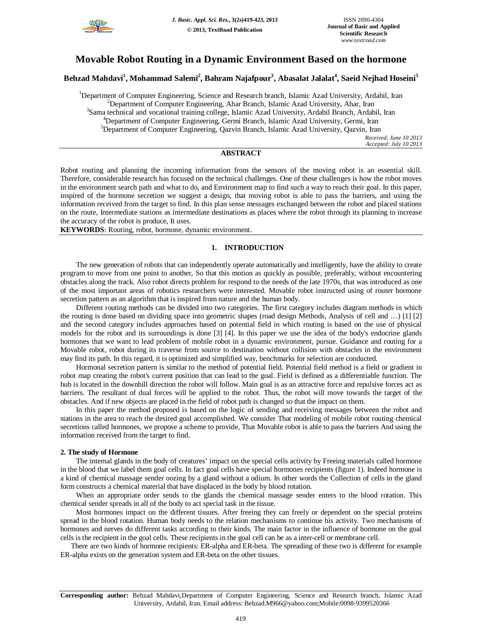

# **Movable Robot Routing in a Dynamic Environment Based on the hormone**

**Behzad Mahdavi<sup>1</sup> , Mohammad Salemi<sup>2</sup> , Bahram Najafpour<sup>3</sup> , Abasalat Jalalat<sup>4</sup> , Saeid Nejhad Hoseini<sup>5</sup>**

<sup>1</sup>Department of Computer Engineering, Science and Research branch, Islamic Azad University, Ardabil, Iran <sup>2</sup>Department of Computer Engineering, Ahar Branch, Islamic Azad University, Ahar, Iran <sup>3</sup>Sama technical and vocational training college, Islamic Azad University, Ardabil Branch, Ardabil, Iran <sup>4</sup>Department of Computer Engineering, Germi Branch, Islamic Azad University, Germi, Iran <sup>5</sup>Department of Computer Engineering, Qazvin Branch, Islamic Azad University, Qazvin, Iran

*Received: June 10 2013 Accepted: July 10 2013*

# **ABSTRACT**

Robot routing and planning the incoming information from the sensors of the moving robot is an essential skill. Therefore, considerable research has focused on the technical challenges. One of these challenges is how the robot moves in the environment search path and what to do, and Environment map to find such a way to reach their goal. In this paper, inspired of the hormone secretion we suggest a design, that moving robot is able to pass the barriers, and using the information received from the target to find. In this plan sense messages exchanged between the robot and placed stations on the route, Intermediate stations as intermediate destinations as places where the robot through its planning to increase the accuracy of the robot is produce, It uses.

**KEYWORDS**: Routing, robot, hormone, dynamic environment.

## **1. INTRODUCTION**

The new generation of robots that can independently operate automatically and intelligently, have the ability to create program to move from one point to another, So that this motion as quickly as possible, preferably, without encountering obstacles along the track. Also robot directs problem for respond to the needs of the late 1970s, that was introduced as one of the most important areas of robotics researchers were interested. Movable robot instructed using of router hormone secretion pattern as an algorithm that is inspired from nature and the human body.

Different routing methods can be divided into two categories. The first category includes diagram methods in which the routing is done based on dividing space into geometric shapes (road design Methods, Analysis of cell and …) [1] [2] and the second category includes approaches based on potential field in which routing is based on the use of physical models for the robot and its surroundings is done [3] [4]. In this paper we use the idea of the body's endocrine glands hormones that we want to lead problem of mobile robot in a dynamic environment, pursue. Guidance and routing for a Movable robot, robot during its traverse from source to destination without collision with obstacles in the environment may find its path. In this regard, it is optimized and simplified way, benchmarks for selection are conducted.

Hormonal secretion pattern is similar to the method of potential field. Potential field method is a field or gradient in robot map creating the robot's current position that can lead to the goal. Field is defined as a differentiable function. The hub is located in the downhill direction the robot will follow. Main goal is as an attractive force and repulsive forces act as barriers. The resultant of dual forces will be applied to the robot. Thus, the robot will move towards the target of the obstacles. And if new objects are placed in the field of robot path is changed so that the impact on them.

In this paper the method proposed is based on the logic of sending and receiving messages between the robot and stations in the area to reach the desired goal accomplished. We consider That modeling of mobile robot routing chemical secretions called hormones, we propose a scheme to provide, That Movable robot is able to pass the barriers And using the information received from the target to find.

#### **2. The study of Hormone**

The internal glands in the body of creatures' impact on the special cells activity by Freeing materials called hormone in the blood that we label them goal cells. In fact goal cells have special hormones recipients (figure 1). Indeed hormone is a kind of chemical massage sender oozing by a gland without a odium. In other words the Collection of cells in the gland form constructs a chemical material that have displaced in the body by blood rotation.

When an appropriate order sends to the glands the chemical massage sender enters to the blood rotation. This chemical sender spreads in all of the body to act special task in the tissue.

Most hormones impact on the different tissues. After freeing they can freely or dependent on the special proteins spread in the blood rotation. Human body needs to the relation mechanisms to continue his activity. Two mechanisms of hormones and nerves do different tasks according to their kinds. The main factor in the influence of hormone on the goal cells is the recipient in the goal cells. These recipients in the goal cell can be as a inter-cell or membrane cell.

There are two kinds of hormone recipients: ER-alpha and ER-beta. The spreading of these two is different for example ER-alpha exists on the generation system and ER-beta on the other tissues.

**Corresponding author:** Behzad Mahdavi,Department of Computer Engineering, Science and Research branch, Islamic Azad University, Ardabil, Iran. Email address: Behzad.M966@yahoo.com;Mobile:0098-9399520366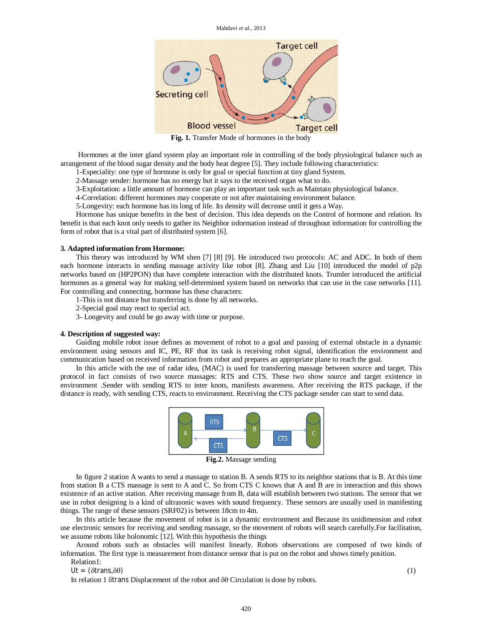

**Fig. 1.** Transfer Mode of hormones in the body

Hormones at the inter gland system play an important role in controlling of the body physiological balance such as arrangement of the blood sugar density and the body heat degree [5]. They include following characteristics:

1-Especiality: one type of hormone is only for goal or special function at tiny gland System.

2-Massage sender: hormone has no energy but it says to the received organ what to do.

3-Exploitation: a little amount of hormone can play an important task such as Maintain physiological balance.

4-Correlation: different hormones may cooperate or not after maintaining environment balance.

5-Longevity: each hormone has its long of life. Its density will decrease until it gets a Way.

Hormone has unique benefits in the best of decision. This idea depends on the Control of hormone and relation. Its benefit is that each knot only needs to gather its Neighbor information instead of throughout information for controlling the form of robot that is a vital part of distributed system [6].

#### **3. Adapted information from Hormone:**

This theory was introduced by WM shen [7] [8] [9]. He introduced two protocols: AC and ADC. In both of them each hormone interacts in sending massage activity like robot [8]. Zhang and Liu [10] introduced the model of p2p networks based on (HP2PON) that have complete interaction with the distributed knots. Trumler introduced the artificial hormones as a general way for making self-determined system based on networks that can use in the case networks [11]. For controlling and connecting, hormone has these characters:

1-This is not distance but transferring is done by all networks.

2-Special goal may react to special act.

3- Longevity and could be go away with time or purpose.

#### **4. Description of suggested way:**

Guiding mobile robot issue defines as movement of robot to a goal and passing of external obstacle in a dynamic environment using sensors and IC, PE, RF that its task is receiving robot signal, identification the environment and communication based on received information from robot and prepares an appropriate plane to reach the goal.

In this article with the use of radar idea, (MAC) is used for transferring massage between source and target. This protocol in fact consists of two source massages: RTS and CTS. These two show source and target existence in environment .Sender with sending RTS to inter knots, manifests awareness. After receiving the RTS package, if the distance is ready, with sending CTS, reacts to environment. Receiving the CTS package sender can start to send data.



**Fig.2.** Massage sending

In figure 2 station A wants to send a massage to station B. A sends RTS to its neighbor stations that is B. At this time from station B a CTS massage is sent to A and C. So from CTS C knows that A and B are in interaction and this shows existence of an active station. After receiving massage from B, data will establish between two stations. The sensor that we use in robot designing is a kind of ultrasonic waves with sound frequency. These sensors are usually used in manifesting things. The range of these sensors (SRF02) is between 18cm to 4m.

In this article because the movement of robot is in a dynamic environment and Because its unidimension and robot use electronic sensors for receiving and sending massage, so the movement of robots will search carefully.For facilitation, we assume robots like holonomic [12]. With this hypothesis the things

Around robots such as obstacles will manifest linearly. Robots observations are composed of two kinds of information. The first type is measurement from distance sensor that is put on the robot and shows timely position.

Relation1:

 $Ut = (\delta trans_{\lambda} \delta \theta)$  (1)

In relation 1  $\delta$ trans Displacement of the robot and  $\delta\theta$  Circulation is done by robots.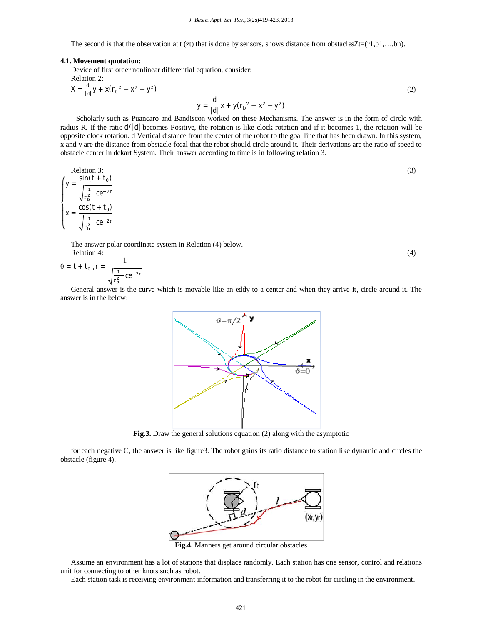The second is that the observation at  $t$  (zt) that is done by sensors, shows distance from obstacles $Zt=(r1,b1,...,bn)$ .

#### **4.1. Movement quotation:**

Device of first order nonlinear differential equation, consider: Relation 2:

$$
X = \frac{d}{|d|}y + x(r_b^2 - x^2 - y^2)
$$
  
 
$$
y = \frac{d}{|d|}x + y(r_b^2 - x^2 - y^2)
$$
 (2)

Scholarly such as Puancaro and Bandiscon worked on these Mechanisms. The answer is in the form of circle with radius R. If the ratio d/|d| becomes Positive, the rotation is like clock rotation and if it becomes 1, the rotation will be opposite clock rotation. d Vertical distance from the center of the robot to the goal line that has been drawn. In this system, x and y are the distance from obstacle focal that the robot should circle around it. Their derivations are the ratio of speed to obstacle center in dekart System. Their answer according to time is in following relation 3.

Relation 3:  
\n
$$
y = \frac{\sin(t + t_0)}{\sqrt{\frac{1}{r_b^2} \csc^{-2r}}}
$$
\n
$$
x = \frac{\cos(t + t_0)}{\sqrt{\frac{1}{r_b^2} \csc^{-2r}}}
$$
\n(3)

The answer polar coordinate system in Relation (4) below. Relation 4:  $(4)$ 

$$
\theta = t + t_0 \; , \; r = \frac{1}{\sqrt{r_b^2 \csc^{2r}}}
$$

General answer is the curve which is movable like an eddy to a center and when they arrive it, circle around it. The answer is in the below:



**Fig.3.** Draw the general solutions equation (2) along with the asymptotic

for each negative C, the answer is like figure3. The robot gains its ratio distance to station like dynamic and circles the obstacle (figure 4).



**Fig.4.** Manners get around circular obstacles

Assume an environment has a lot of stations that displace randomly. Each station has one sensor, control and relations unit for connecting to other knots such as robot.

Each station task is receiving environment information and transferring it to the robot for circling in the environment.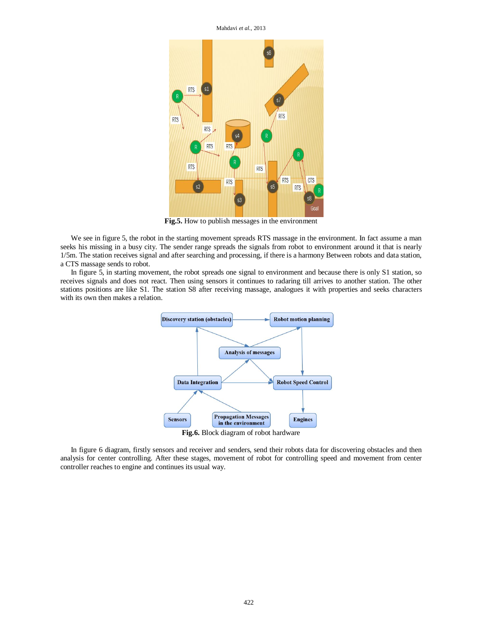Mahdavi *et al.,* 2013



**Fig.5.** How to publish messages in the environment

We see in figure 5, the robot in the starting movement spreads RTS massage in the environment. In fact assume a man seeks his missing in a busy city. The sender range spreads the signals from robot to environment around it that is nearly 1/5m. The station receives signal and after searching and processing, if there is a harmony Between robots and data station, a CTS massage sends to robot.

In figure 5, in starting movement, the robot spreads one signal to environment and because there is only S1 station, so receives signals and does not react. Then using sensors it continues to radaring till arrives to another station. The other stations positions are like S1. The station S8 after receiving massage, analogues it with properties and seeks characters with its own then makes a relation.



**Fig.6.** Block diagram of robot hardware

In figure 6 diagram, firstly sensors and receiver and senders, send their robots data for discovering obstacles and then analysis for center controlling. After these stages, movement of robot for controlling speed and movement from center controller reaches to engine and continues its usual way.